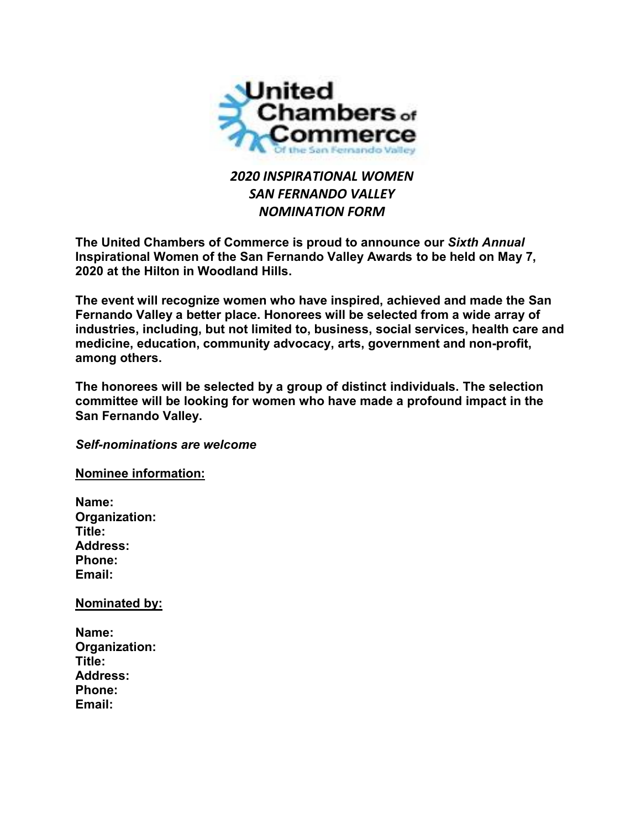

## *2020 INSPIRATIONAL WOMEN SAN FERNANDO VALLEY NOMINATION FORM*

**The United Chambers of Commerce is proud to announce our** *Sixth Annual* **Inspirational Women of the San Fernando Valley Awards to be held on May 7, 2020 at the Hilton in Woodland Hills.**

**The event will recognize women who have inspired, achieved and made the San Fernando Valley a better place. Honorees will be selected from a wide array of industries, including, but not limited to, business, social services, health care and medicine, education, community advocacy, arts, government and non-profit, among others.**

**The honorees will be selected by a group of distinct individuals. The selection committee will be looking for women who have made a profound impact in the San Fernando Valley.**

*Self-nominations are welcome*

**Nominee information:**

**Name: Organization: Title: Address: Phone: Email:**

**Nominated by:**

| Name:           |
|-----------------|
| Organization:   |
| Title:          |
| <b>Address:</b> |
| <b>Phone:</b>   |
| Email:          |